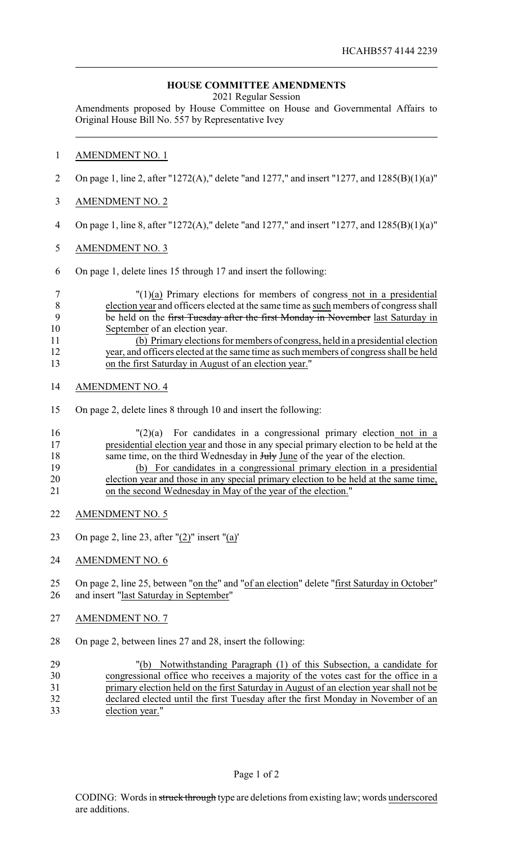# **HOUSE COMMITTEE AMENDMENTS**

2021 Regular Session

Amendments proposed by House Committee on House and Governmental Affairs to Original House Bill No. 557 by Representative Ivey

## AMENDMENT NO. 1

- On page 1, line 2, after "1272(A)," delete "and 1277," and insert "1277, and 1285(B)(1)(a)"
- AMENDMENT NO. 2
- On page 1, line 8, after "1272(A)," delete "and 1277," and insert "1277, and 1285(B)(1)(a)"
- AMENDMENT NO. 3
- On page 1, delete lines 15 through 17 and insert the following:

### "(1)(a) Primary elections for members of congress not in a presidential election year and officers elected at the same time as such members of congress shall 9 be held on the first Tuesday after the first Monday in November last Saturday in September of an election year. (b) Primary elections for members of congress, held in a presidential election year, and officers elected at the same time as such members of congress shall be held on the first Saturday in August of an election year."

- AMENDMENT NO. 4
- On page 2, delete lines 8 through 10 and insert the following:

# "(2)(a) For candidates in a congressional primary election not in a presidential election year and those in any special primary election to be held at the 18 same time, on the third Wednesday in Huly June of the year of the election. (b) For candidates in a congressional primary election in a presidential

- election year and those in any special primary election to be held at the same time, on the second Wednesday in May of the year of the election."
- AMENDMENT NO. 5
- On page 2, line 23, after "(2)" insert "(a)'
- AMENDMENT NO. 6

## 25 On page 2, line 25, between "on the" and "of an election" delete "first Saturday in October" and insert "last Saturday in September"

- AMENDMENT NO. 7
- On page 2, between lines 27 and 28, insert the following:
- "(b) Notwithstanding Paragraph (1) of this Subsection, a candidate for congressional office who receives a majority of the votes cast for the office in a primary election held on the first Saturday in August of an election year shall not be declared elected until the first Tuesday after the first Monday in November of an election year."